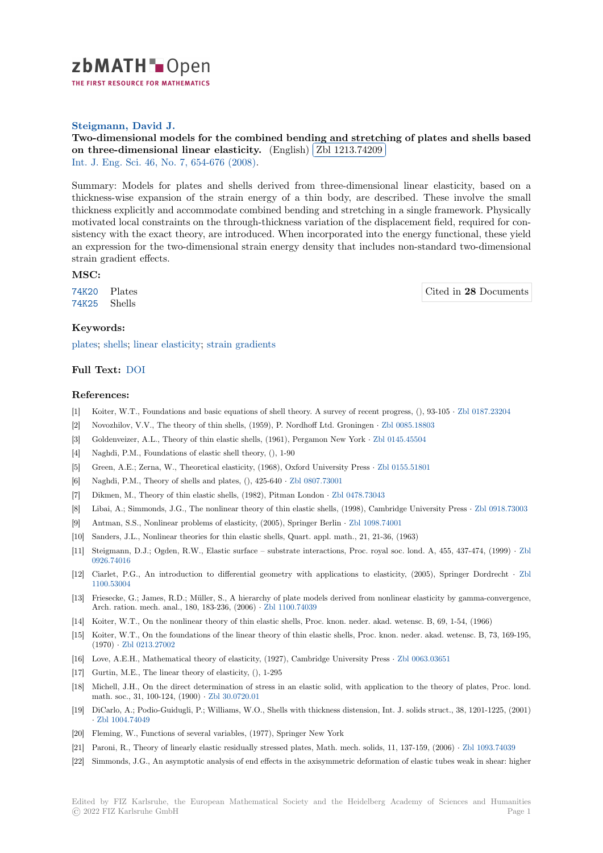

THE FIRST RESOURCE FOR MATHEMATICS

# **Steigmann, David J.**

[T](https://zbmath.org/)wo-dimensional models for the combined bending and stretching of plates and shells based on three-dimensional linear elasticity.  $(\text{English})$   $(\text{Zbl 1213.74209})$ Į. Int. J. Eng. Sci. 46, No. 7, 654-676 (2008).

[Summary: Models for plates and shells derived from three-dimensional linear elasticity, based on a](https://zbmath.org/1213.74209) [thickness-wise expansion of the strain ene](https://zbmath.org/1213.74209)rgy of a t[hin body, are desc](https://zbmath.org/1213.74209)ribed. These involve the small [thickness explici](https://zbmath.org/journals/?q=se:96)[tly and accommodate com](https://zbmath.org/?q=in:280653)bined bending and stretching in a single framework. Physically motivated local constraints on the through-thickness variation of the displacement field, required for consistency with the exact theory, are introduced. When incorporated into the energy functional, these yield an expression for the two-dimensional strain energy density that includes non-standard two-dimensional strain gradient effects.

#### **MSC:**

74K20 Plates 74K25 Shells

Cited in **28** Documents

# **Keywords:**

[plates;](https://zbmath.org/classification/?q=cc:74K20) shells; linear elasticity; strain gradients

### **Full Text:** DOI

#### **[Refer](https://zbmath.org/?q=ut:plates)[ences:](https://zbmath.org/?q=ut:shells)**

- [1] Koiter, W.T., Foundations and basic equations of shell theory. A survey of recent progress, (), 93-105 *·* Zbl 0187.23204
- [2] Novozhilo[v, V.V](https://dx.doi.org/10.1016/j.ijengsci.2008.01.015)., The theory of thin shells, (1959), P. Nordhoff Ltd. Groningen *·* Zbl 0085.18803
- [3] Goldenveizer, A.L., Theory of thin elastic shells, (1961), Pergamon New York *·* Zbl 0145.45504
- [4] Naghdi, P.M., Foundations of elastic shell theory, (), 1-90
- [5] Green, A.E.; Zerna, W., Theoretical elasticity, (1968), Oxford University Press *·* [Zbl 0155.51801](https://zbmath.org/0085.18803)
- [6] Naghdi, P.M., Theory of shells and plates, (), 425-640 *·* Zbl 0807.73001
- [7] Dikmen, M., Theory of thin elastic shells, (1982), Pitman London *·* Zbl 0478.73[043](https://zbmath.org/0145.45504)
- [8] Libai, A.; Simmonds, J.G., The nonlinear theory of thin elastic shells, (1998), Cambridge University Press *·* Zbl 0918.73003
- [9] Antman, S.S., Nonlinear problems of elasticity, (2005), Springer Berlin *·* Zbl 109[8.74001](https://zbmath.org/0155.51801)
- [10] Sanders, J.L., Nonlinear theories for thin elastic shells, [Quart. appl. ma](https://zbmath.org/0807.73001)th., 21, 21-36, (1963)
- [11] Steigmann, D.J.; Ogden, R.W., Elastic surface substrate interact[ions, Proc. roya](https://zbmath.org/0478.73043)l soc. lond. A, 455, 437-474, (1999) *[·](https://zbmath.org/0918.73003)* Zbl 0926.74016
- [12] Ciarlet, P.G., An introduction to differential geometry with applicati[ons to elasticity](https://zbmath.org/1098.74001), (2005), Springer Dordrecht *·* Zbl 1100.53004
- [13] Friesecke, G.; James, R.D.; Müller, S., A hierarchy of plate models derived from nonlinear elasticity by gamma-converge[nce,](https://zbmath.org/0926.74016) [Arch. ration](https://zbmath.org/0926.74016). mech. anal., 180, 183-236, (2006) *·* Zbl 1100.74039
- [14] Koiter, W.T., On the nonlinear theory of thin elastic shells, Proc. knon. neder. akad. wetensc. B, 69, 1-54, (1966)
- [15] [Koiter, W.T](https://zbmath.org/1100.53004)., On the foundations of the linear theory of thin elastic shells, Proc. knon. neder. akad. wetensc. B, 73, 169-195, (1970) *·* Zbl 0213.27002
- [16] Love, A.E.H., Mathematical theory of elasticity, [\(1927\), Cambri](https://zbmath.org/1100.74039)dge University Press *·* Zbl 0063.03651
- [17] Gurtin, M.E., The linear theory of elasticity, (), 1-295
- [18] Michell, J.H., On the direct determination of stress in an elastic solid, with application to the theory of plates, Proc. lond. math. so[c., 31, 100-124,](https://zbmath.org/0213.27002) (1900) *·* Zbl 30.0720.01
- [19] DiCarlo, A.; Podio-Guidugli, P.; Williams, W.O., Shells with thickness distension, Int. [J. solids struct.](https://zbmath.org/0063.03651), 38, 1201-1225, (2001) *·* Zbl 1004.74049
- [20] Fleming, W., Functions of several variables, (1977), Springer New York
- [21] Paroni, R., Theory of linearly el[astic residually](https://zbmath.org/30.0720.01) stressed plates, Math. mech. solids, 11, 137-159, (2006) *·* Zbl 1093.74039
- [22] S[immonds, J.G.,](https://zbmath.org/1004.74049) An asymptotic analysis of end effects in the axisymmetric deformation of elastic tubes weak in shear: higher